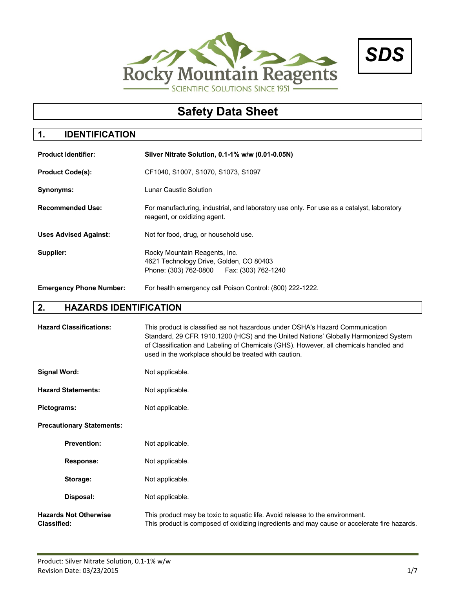



# **1. IDENTIFICATION**

| <b>Product Identifier:</b>     | Silver Nitrate Solution, 0.1-1% w/w (0.01-0.05N)                                                                          |  |  |
|--------------------------------|---------------------------------------------------------------------------------------------------------------------------|--|--|
| <b>Product Code(s):</b>        | CF1040, S1007, S1070, S1073, S1097                                                                                        |  |  |
| Synonyms:                      | Lunar Caustic Solution                                                                                                    |  |  |
| <b>Recommended Use:</b>        | For manufacturing, industrial, and laboratory use only. For use as a catalyst, laboratory<br>reagent, or oxidizing agent. |  |  |
| <b>Uses Advised Against:</b>   | Not for food, drug, or household use.                                                                                     |  |  |
| Supplier:                      | Rocky Mountain Reagents, Inc.<br>4621 Technology Drive, Golden, CO 80403<br>Phone: (303) 762-0800   Fax: (303) 762-1240   |  |  |
| <b>Emergency Phone Number:</b> | For health emergency call Poison Control: (800) 222-1222.                                                                 |  |  |

# **2. HAZARDS IDENTIFICATION**

| <b>Hazard Classifications:</b>                     | This product is classified as not hazardous under OSHA's Hazard Communication<br>Standard, 29 CFR 1910.1200 (HCS) and the United Nations' Globally Harmonized System<br>of Classification and Labeling of Chemicals (GHS). However, all chemicals handled and<br>used in the workplace should be treated with caution. |  |
|----------------------------------------------------|------------------------------------------------------------------------------------------------------------------------------------------------------------------------------------------------------------------------------------------------------------------------------------------------------------------------|--|
| <b>Signal Word:</b>                                | Not applicable.                                                                                                                                                                                                                                                                                                        |  |
| <b>Hazard Statements:</b>                          | Not applicable.                                                                                                                                                                                                                                                                                                        |  |
| Pictograms:                                        | Not applicable.                                                                                                                                                                                                                                                                                                        |  |
| <b>Precautionary Statements:</b>                   |                                                                                                                                                                                                                                                                                                                        |  |
| <b>Prevention:</b>                                 | Not applicable.                                                                                                                                                                                                                                                                                                        |  |
| <b>Response:</b>                                   | Not applicable.                                                                                                                                                                                                                                                                                                        |  |
| Storage:                                           | Not applicable.                                                                                                                                                                                                                                                                                                        |  |
| Disposal:                                          | Not applicable.                                                                                                                                                                                                                                                                                                        |  |
| <b>Hazards Not Otherwise</b><br><b>Classified:</b> | This product may be toxic to aquatic life. Avoid release to the environment.<br>This product is composed of oxidizing ingredients and may cause or accelerate fire hazards.                                                                                                                                            |  |

*SDS*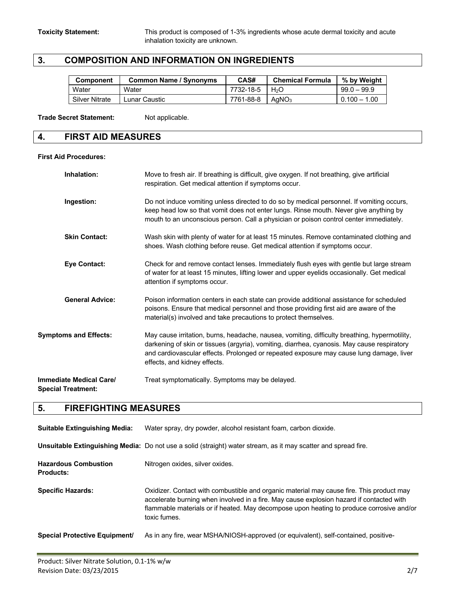# **3. COMPOSITION AND INFORMATION ON INGREDIENTS**

| <b>Component</b>      | <b>Common Name / Synonyms</b> | CAS#      | <b>Chemical Formula</b> | % by Weight    |
|-----------------------|-------------------------------|-----------|-------------------------|----------------|
| Water                 | Water                         | 7732-18-5 | $H_2O$                  | $99.0 - 99.9$  |
| <b>Silver Nitrate</b> | Lunar Caustic                 | 7761-88-8 | AaNO <sub>3</sub>       | $0.100 - 1.00$ |

Trade Secret Statement: Not applicable.

### **4. FIRST AID MEASURES**

### **First Aid Procedures:**

| Inhalation:                                                 | Move to fresh air. If breathing is difficult, give oxygen. If not breathing, give artificial<br>respiration. Get medical attention if symptoms occur.                                                                                                                                                                   |  |
|-------------------------------------------------------------|-------------------------------------------------------------------------------------------------------------------------------------------------------------------------------------------------------------------------------------------------------------------------------------------------------------------------|--|
| Ingestion:                                                  | Do not induce vomiting unless directed to do so by medical personnel. If vomiting occurs,<br>keep head low so that vomit does not enter lungs. Rinse mouth. Never give anything by<br>mouth to an unconscious person. Call a physician or poison control center immediately.                                            |  |
| <b>Skin Contact:</b>                                        | Wash skin with plenty of water for at least 15 minutes. Remove contaminated clothing and<br>shoes. Wash clothing before reuse. Get medical attention if symptoms occur.                                                                                                                                                 |  |
| <b>Eye Contact:</b>                                         | Check for and remove contact lenses. Immediately flush eyes with gentle but large stream<br>of water for at least 15 minutes, lifting lower and upper eyelids occasionally. Get medical<br>attention if symptoms occur.                                                                                                 |  |
| <b>General Advice:</b>                                      | Poison information centers in each state can provide additional assistance for scheduled<br>poisons. Ensure that medical personnel and those providing first aid are aware of the<br>material(s) involved and take precautions to protect themselves.                                                                   |  |
| <b>Symptoms and Effects:</b>                                | May cause irritation, burns, headache, nausea, vomiting, difficulty breathing, hypermotility,<br>darkening of skin or tissues (argyria), vomiting, diarrhea, cyanosis. May cause respiratory<br>and cardiovascular effects. Prolonged or repeated exposure may cause lung damage, liver<br>effects, and kidney effects. |  |
| <b>Immediate Medical Care/</b><br><b>Special Treatment:</b> | Treat symptomatically. Symptoms may be delayed.                                                                                                                                                                                                                                                                         |  |

## **5. FIREFIGHTING MEASURES**

| <b>Suitable Extinguishing Media:</b>            | Water spray, dry powder, alcohol resistant foam, carbon dioxide.                                                                                                                                                                                                                                 |  |  |
|-------------------------------------------------|--------------------------------------------------------------------------------------------------------------------------------------------------------------------------------------------------------------------------------------------------------------------------------------------------|--|--|
|                                                 | Unsuitable Extinguishing Media: Do not use a solid (straight) water stream, as it may scatter and spread fire.                                                                                                                                                                                   |  |  |
| <b>Hazardous Combustion</b><br><b>Products:</b> | Nitrogen oxides, silver oxides.                                                                                                                                                                                                                                                                  |  |  |
| <b>Specific Hazards:</b>                        | Oxidizer. Contact with combustible and organic material may cause fire. This product may<br>accelerate burning when involved in a fire. May cause explosion hazard if contacted with<br>flammable materials or if heated. May decompose upon heating to produce corrosive and/or<br>toxic fumes. |  |  |
| <b>Special Protective Equipment/</b>            | As in any fire, wear MSHA/NIOSH-approved (or equivalent), self-contained, positive-                                                                                                                                                                                                              |  |  |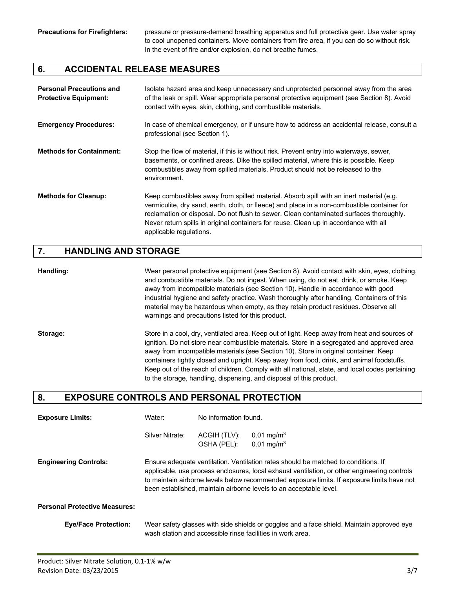Precautions for Firefighters: pressure or pressure-demand breathing apparatus and full protective gear. Use water spray to cool unopened containers. Move containers from fire area, if you can do so without risk. In the event of fire and/or explosion, do not breathe fumes.

### **6. ACCIDENTAL RELEASE MEASURES**

| <b>Personal Precautions and</b><br><b>Protective Equipment:</b> | Isolate hazard area and keep unnecessary and unprotected personnel away from the area<br>of the leak or spill. Wear appropriate personal protective equipment (see Section 8). Avoid<br>contact with eyes, skin, clothing, and combustible materials.                                                                                                                                                  |  |
|-----------------------------------------------------------------|--------------------------------------------------------------------------------------------------------------------------------------------------------------------------------------------------------------------------------------------------------------------------------------------------------------------------------------------------------------------------------------------------------|--|
| <b>Emergency Procedures:</b>                                    | In case of chemical emergency, or if unsure how to address an accidental release, consult a<br>professional (see Section 1).                                                                                                                                                                                                                                                                           |  |
| <b>Methods for Containment:</b>                                 | Stop the flow of material, if this is without risk. Prevent entry into waterways, sewer,<br>basements, or confined areas. Dike the spilled material, where this is possible. Keep<br>combustibles away from spilled materials. Product should not be released to the<br>environment.                                                                                                                   |  |
| <b>Methods for Cleanup:</b>                                     | Keep combustibles away from spilled material. Absorb spill with an inert material (e.g.<br>vermiculite, dry sand, earth, cloth, or fleece) and place in a non-combustible container for<br>reclamation or disposal. Do not flush to sewer. Clean contaminated surfaces thoroughly.<br>Never return spills in original containers for reuse. Clean up in accordance with all<br>applicable regulations. |  |

### **7. HANDLING AND STORAGE**

**Handling:** Wear personal protective equipment (see Section 8). Avoid contact with skin, eyes, clothing, and combustible materials. Do not ingest. When using, do not eat, drink, or smoke. Keep away from incompatible materials (see Section 10). Handle in accordance with good industrial hygiene and safety practice. Wash thoroughly after handling. Containers of this material may be hazardous when empty, as they retain product residues. Observe all warnings and precautions listed for this product.

**Storage:** Store in a cool, dry, ventilated area. Keep out of light. Keep away from heat and sources of ignition. Do not store near combustible materials. Store in a segregated and approved area away from incompatible materials (see Section 10). Store in original container. Keep containers tightly closed and upright. Keep away from food, drink, and animal foodstuffs. Keep out of the reach of children. Comply with all national, state, and local codes pertaining to the storage, handling, dispensing, and disposal of this product.

### **8. EXPOSURE CONTROLS AND PERSONAL PROTECTION**

| <b>Exposure Limits:</b>              | No information found.<br>Water:                                                                                                                                                                                                                                                                                                                        |                             |                                                                                                                                                         |
|--------------------------------------|--------------------------------------------------------------------------------------------------------------------------------------------------------------------------------------------------------------------------------------------------------------------------------------------------------------------------------------------------------|-----------------------------|---------------------------------------------------------------------------------------------------------------------------------------------------------|
|                                      | Silver Nitrate:                                                                                                                                                                                                                                                                                                                                        | ACGIH (TLV):<br>OSHA (PEL): | 0.01 mg/m <sup>3</sup><br>0.01 mg/m <sup>3</sup>                                                                                                        |
| <b>Engineering Controls:</b>         | Ensure adequate ventilation. Ventilation rates should be matched to conditions. If<br>applicable, use process enclosures, local exhaust ventilation, or other engineering controls<br>to maintain airborne levels below recommended exposure limits. If exposure limits have not<br>been established, maintain airborne levels to an acceptable level. |                             |                                                                                                                                                         |
| <b>Personal Protective Measures:</b> |                                                                                                                                                                                                                                                                                                                                                        |                             |                                                                                                                                                         |
| <b>Eye/Face Protection:</b>          |                                                                                                                                                                                                                                                                                                                                                        |                             | Wear safety glasses with side shields or goggles and a face shield. Maintain approved eye<br>wash station and accessible rinse facilities in work area. |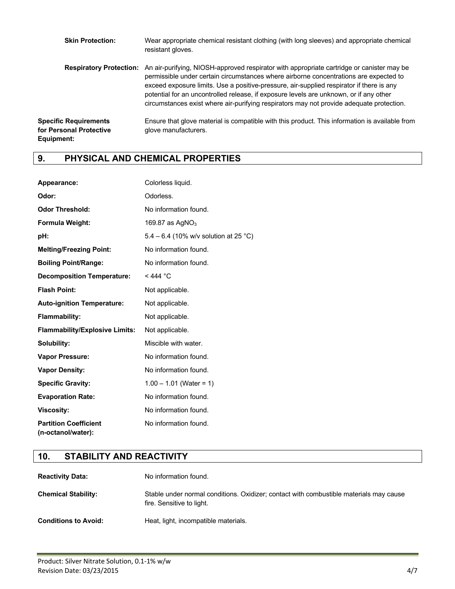| <b>Skin Protection:</b>                                               | Wear appropriate chemical resistant clothing (with long sleeves) and appropriate chemical<br>resistant gloves.                                                                                                                                                                                                                                                                                                                                                                                      |
|-----------------------------------------------------------------------|-----------------------------------------------------------------------------------------------------------------------------------------------------------------------------------------------------------------------------------------------------------------------------------------------------------------------------------------------------------------------------------------------------------------------------------------------------------------------------------------------------|
|                                                                       | <b>Respiratory Protection:</b> An air-purifying, NIOSH-approved respirator with appropriate cartridge or canister may be<br>permissible under certain circumstances where airborne concentrations are expected to<br>exceed exposure limits. Use a positive-pressure, air-supplied respirator if there is any<br>potential for an uncontrolled release, if exposure levels are unknown, or if any other<br>circumstances exist where air-purifying respirators may not provide adequate protection. |
| <b>Specific Requirements</b><br>for Personal Protective<br>Equipment: | Ensure that glove material is compatible with this product. This information is available from<br>glove manufacturers.                                                                                                                                                                                                                                                                                                                                                                              |

# **9. PHYSICAL AND CHEMICAL PROPERTIES**

| Appearance:                                        | Colorless liquid.                     |
|----------------------------------------------------|---------------------------------------|
| Odor:                                              | Odorless.                             |
| <b>Odor Threshold:</b>                             | No information found.                 |
| Formula Weight:                                    | 169.87 as $AgNO3$                     |
| pH:                                                | 5.4 – 6.4 (10% w/v solution at 25 °C) |
| <b>Melting/Freezing Point:</b>                     | No information found.                 |
| <b>Boiling Point/Range:</b>                        | No information found.                 |
| <b>Decomposition Temperature:</b>                  | $<$ 444 °C                            |
| <b>Flash Point:</b>                                | Not applicable.                       |
| <b>Auto-ignition Temperature:</b>                  | Not applicable.                       |
| <b>Flammability:</b>                               | Not applicable.                       |
| <b>Flammability/Explosive Limits:</b>              | Not applicable.                       |
| Solubility:                                        | Miscible with water.                  |
| <b>Vapor Pressure:</b>                             | No information found.                 |
| <b>Vapor Density:</b>                              | No information found.                 |
| <b>Specific Gravity:</b>                           | $1.00 - 1.01$ (Water = 1)             |
| <b>Evaporation Rate:</b>                           | No information found.                 |
| <b>Viscosity:</b>                                  | No information found.                 |
| <b>Partition Coefficient</b><br>(n-octanol/water): | No information found.                 |

# **10. STABILITY AND REACTIVITY**

| <b>Reactivity Data:</b>     | No information found.                                                                                               |
|-----------------------------|---------------------------------------------------------------------------------------------------------------------|
| <b>Chemical Stability:</b>  | Stable under normal conditions. Oxidizer; contact with combustible materials may cause<br>fire. Sensitive to light. |
| <b>Conditions to Avoid:</b> | Heat, light, incompatible materials.                                                                                |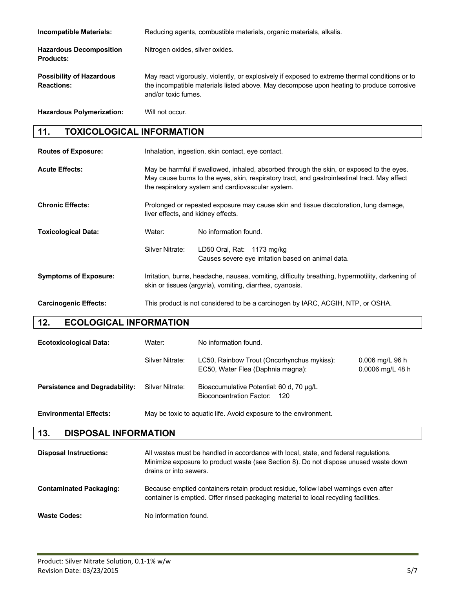| <b>Incompatible Materials:</b>                       | Reducing agents, combustible materials, organic materials, alkalis.                                                                                                                                               |  |  |
|------------------------------------------------------|-------------------------------------------------------------------------------------------------------------------------------------------------------------------------------------------------------------------|--|--|
| <b>Hazardous Decomposition</b><br><b>Products:</b>   | Nitrogen oxides, silver oxides.                                                                                                                                                                                   |  |  |
| <b>Possibility of Hazardous</b><br><b>Reactions:</b> | May react vigorously, violently, or explosively if exposed to extreme thermal conditions or to<br>the incompatible materials listed above. May decompose upon heating to produce corrosive<br>and/or toxic fumes. |  |  |
| <b>Hazardous Polymerization:</b>                     | Will not occur.                                                                                                                                                                                                   |  |  |

## **11. TOXICOLOGICAL INFORMATION**

| <b>Routes of Exposure:</b>   | Inhalation, ingestion, skin contact, eye contact.                                                                                                                                                                                             |                                                                                  |  |
|------------------------------|-----------------------------------------------------------------------------------------------------------------------------------------------------------------------------------------------------------------------------------------------|----------------------------------------------------------------------------------|--|
| <b>Acute Effects:</b>        | May be harmful if swallowed, inhaled, absorbed through the skin, or exposed to the eyes.<br>May cause burns to the eyes, skin, respiratory tract, and gastrointestinal tract. May affect<br>the respiratory system and cardiovascular system. |                                                                                  |  |
| <b>Chronic Effects:</b>      | Prolonged or repeated exposure may cause skin and tissue discoloration, lung damage,<br>liver effects, and kidney effects.                                                                                                                    |                                                                                  |  |
| <b>Toxicological Data:</b>   | Water:                                                                                                                                                                                                                                        | No information found.                                                            |  |
|                              | Silver Nitrate:                                                                                                                                                                                                                               | LD50 Oral, Rat: 1173 mg/kg<br>Causes severe eye irritation based on animal data. |  |
| <b>Symptoms of Exposure:</b> | Irritation, burns, headache, nausea, vomiting, difficulty breathing, hypermotility, darkening of<br>skin or tissues (argyria), vomiting, diarrhea, cyanosis.                                                                                  |                                                                                  |  |
| <b>Carcinogenic Effects:</b> | This product is not considered to be a carcinogen by IARC, ACGIH, NTP, or OSHA.                                                                                                                                                               |                                                                                  |  |

## **12. ECOLOGICAL INFORMATION**

| <b>Ecotoxicological Data:</b>         | Water:          | No information found.                                                           |                                       |
|---------------------------------------|-----------------|---------------------------------------------------------------------------------|---------------------------------------|
|                                       | Silver Nitrate: | LC50, Rainbow Trout (Oncorhynchus mykiss):<br>EC50, Water Flea (Daphnia magna): | $0.006$ mg/L 96 h<br>0.0006 mg/L 48 h |
| <b>Persistence and Degradability:</b> | Silver Nitrate: | Bioaccumulative Potential: 60 d, 70 µg/L<br>Bioconcentration Factor: 120        |                                       |
| <b>Environmental Effects:</b>         |                 | May be toxic to aquatic life. Avoid exposure to the environment.                |                                       |

### **13. DISPOSAL INFORMATION**

| <b>Disposal Instructions:</b>  | All wastes must be handled in accordance with local, state, and federal regulations.<br>Minimize exposure to product waste (see Section 8). Do not dispose unused waste down<br>drains or into sewers. |
|--------------------------------|--------------------------------------------------------------------------------------------------------------------------------------------------------------------------------------------------------|
| <b>Contaminated Packaging:</b> | Because emptied containers retain product residue, follow label warnings even after<br>container is emptied. Offer rinsed packaging material to local recycling facilities.                            |
| <b>Waste Codes:</b>            | No information found.                                                                                                                                                                                  |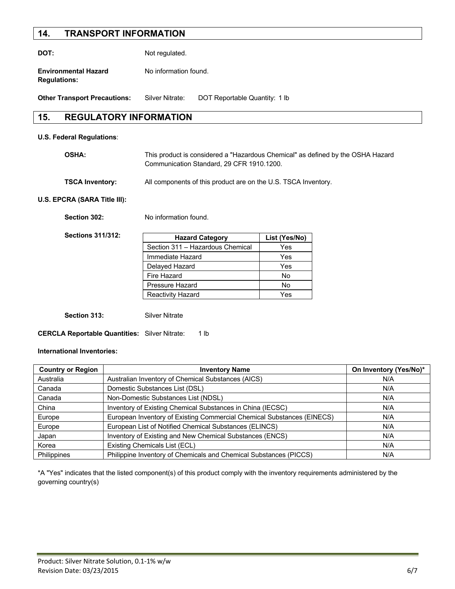## **14. TRANSPORT INFORMATION**

**DOT:** Not regulated.

**Environmental Hazard Mo information found. Regulations:**

**Other Transport Precautions:** Silver Nitrate: DOT Reportable Quantity: 1 lb

## **15. REGULATORY INFORMATION**

### **U.S. Federal Regulations**:

| OSHA: | This product is considered a "Hazardous Chemical" as defined by the OSHA Hazard |
|-------|---------------------------------------------------------------------------------|
|       | Communication Standard, 29 CFR 1910.1200.                                       |
|       |                                                                                 |

**TSCA Inventory:** All components of this product are on the U.S. TSCA Inventory.

### **U.S. EPCRA (SARA Title III):**

Section 302: No information found.

**Sections 311/312:**

| <b>Hazard Category</b>           | List (Yes/No) |
|----------------------------------|---------------|
| Section 311 - Hazardous Chemical | Yes           |
| Immediate Hazard                 | Yes           |
| Delayed Hazard                   | Yes           |
| Fire Hazard                      | Nο            |
| Pressure Hazard                  | No            |
| <b>Reactivity Hazard</b>         | Yes           |

**Section 313:** Silver Nitrate

**CERCLA Reportable Quantities:** Silver Nitrate: 1 lb

#### **International Inventories:**

| <b>Country or Region</b> | <b>Inventory Name</b>                                                         | On Inventory (Yes/No)* |
|--------------------------|-------------------------------------------------------------------------------|------------------------|
| Australia                | Australian Inventory of Chemical Substances (AICS)                            | N/A                    |
| Canada                   | Domestic Substances List (DSL)                                                | N/A                    |
| Canada                   | Non-Domestic Substances List (NDSL)                                           | N/A                    |
| China                    | Inventory of Existing Chemical Substances in China (IECSC)                    | N/A                    |
| Europe                   | European Inventory of Existing Commercial Chemical Substances (EINECS)<br>N/A |                        |
| Europe                   | European List of Notified Chemical Substances (ELINCS)<br>N/A                 |                        |
| Japan                    | Inventory of Existing and New Chemical Substances (ENCS)                      | N/A                    |
| Korea                    | Existing Chemicals List (ECL)                                                 | N/A                    |
| Philippines              | Philippine Inventory of Chemicals and Chemical Substances (PICCS)             | N/A                    |

\*A "Yes" indicates that the listed component(s) of this product comply with the inventory requirements administered by the governing country(s)